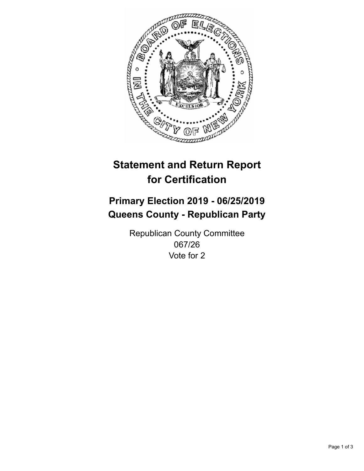

## **Statement and Return Report for Certification**

## **Primary Election 2019 - 06/25/2019 Queens County - Republican Party**

Republican County Committee 067/26 Vote for 2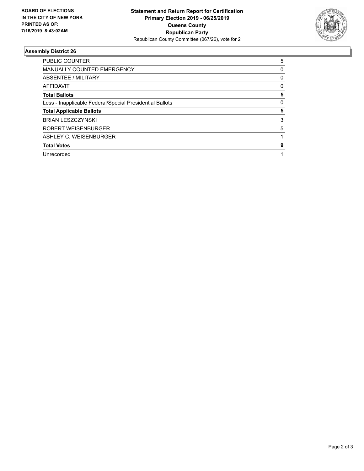

## **Assembly District 26**

| <b>PUBLIC COUNTER</b>                                    | 5 |
|----------------------------------------------------------|---|
| <b>MANUALLY COUNTED EMERGENCY</b>                        | 0 |
| ABSENTEE / MILITARY                                      | 0 |
| AFFIDAVIT                                                | 0 |
| <b>Total Ballots</b>                                     | 5 |
| Less - Inapplicable Federal/Special Presidential Ballots | 0 |
| <b>Total Applicable Ballots</b>                          | 5 |
| <b>BRIAN LESZCZYNSKI</b>                                 | 3 |
| ROBERT WEISENBURGER                                      | 5 |
| ASHLEY C. WEISENBURGER                                   |   |
| <b>Total Votes</b>                                       | 9 |
| Unrecorded                                               |   |